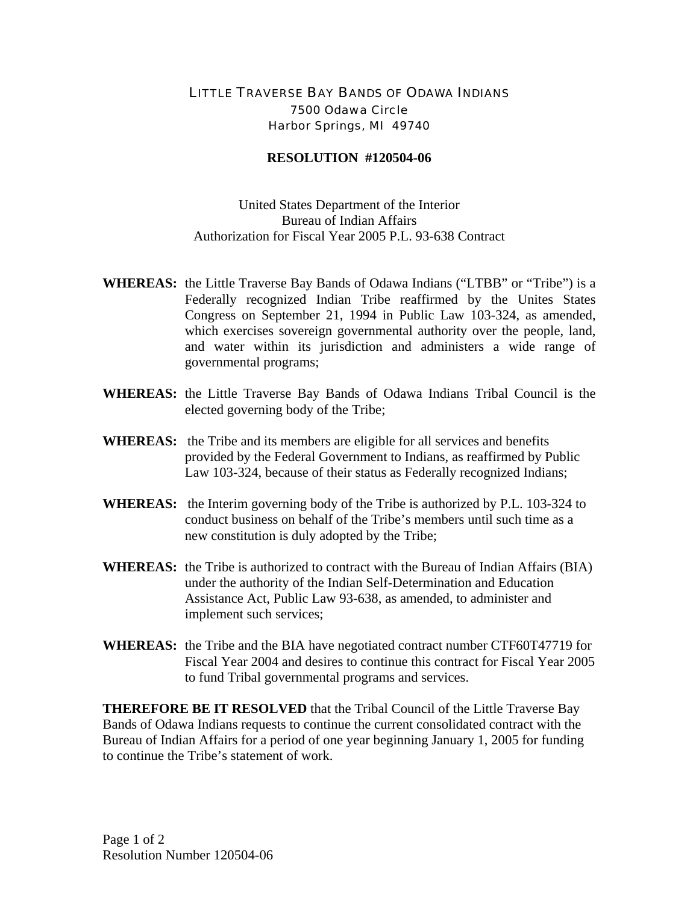## LITTLE TRAVERSE BAY BANDS OF ODAWA INDIANS 7500 Odawa Circle Harbor Springs, MI 49740

## **RESOLUTION #120504-06**

United States Department of the Interior Bureau of Indian Affairs Authorization for Fiscal Year 2005 P.L. 93-638 Contract

- **WHEREAS:** the Little Traverse Bay Bands of Odawa Indians ("LTBB" or "Tribe") is a Federally recognized Indian Tribe reaffirmed by the Unites States Congress on September 21, 1994 in Public Law 103-324, as amended, which exercises sovereign governmental authority over the people, land, and water within its jurisdiction and administers a wide range of governmental programs;
- **WHEREAS:** the Little Traverse Bay Bands of Odawa Indians Tribal Council is the elected governing body of the Tribe;
- **WHEREAS:** the Tribe and its members are eligible for all services and benefits provided by the Federal Government to Indians, as reaffirmed by Public Law 103-324, because of their status as Federally recognized Indians;
- **WHEREAS:** the Interim governing body of the Tribe is authorized by P.L. 103-324 to conduct business on behalf of the Tribe's members until such time as a new constitution is duly adopted by the Tribe;
- **WHEREAS:** the Tribe is authorized to contract with the Bureau of Indian Affairs (BIA) under the authority of the Indian Self-Determination and Education Assistance Act, Public Law 93-638, as amended, to administer and implement such services;
- **WHEREAS:** the Tribe and the BIA have negotiated contract number CTF60T47719 for Fiscal Year 2004 and desires to continue this contract for Fiscal Year 2005 to fund Tribal governmental programs and services.

**THEREFORE BE IT RESOLVED** that the Tribal Council of the Little Traverse Bay Bands of Odawa Indians requests to continue the current consolidated contract with the Bureau of Indian Affairs for a period of one year beginning January 1, 2005 for funding to continue the Tribe's statement of work.